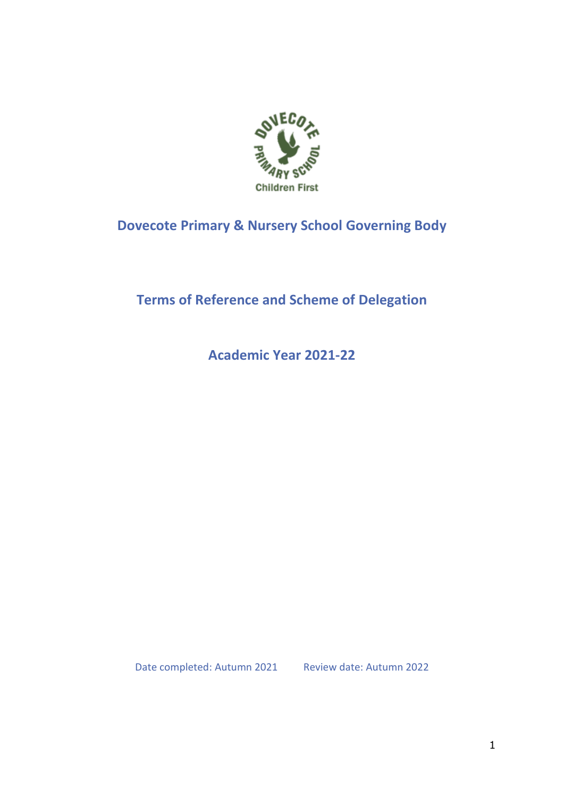

# **Dovecote Primary & Nursery School Governing Body**

# **Terms of Reference and Scheme of Delegation**

**Academic Year 2021-22**

Date completed: Autumn 2021 Review date: Autumn 2022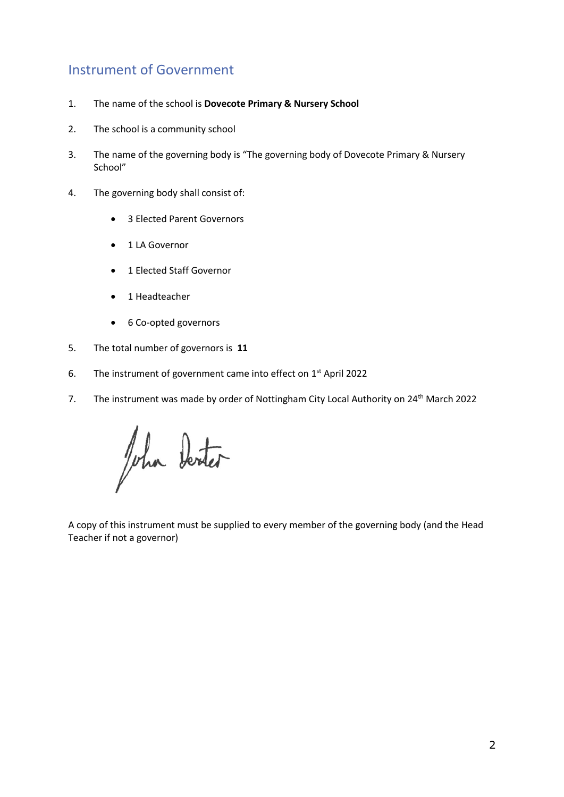## Instrument of Government

- 1. The name of the school is **Dovecote Primary & Nursery School**
- 2. The school is a community school
- 3. The name of the governing body is "The governing body of Dovecote Primary & Nursery School"
- 4. The governing body shall consist of:
	- 3 Elected Parent Governors
	- 1 LA Governor
	- 1 Elected Staff Governor
	- 1 Headteacher
	- 6 Co-opted governors
- 5. The total number of governors is **11**
- 6. The instrument of government came into effect on  $1<sup>st</sup>$  April 2022
- 7. The instrument was made by order of Nottingham City Local Authority on 24<sup>th</sup> March 2022

John Derter

A copy of this instrument must be supplied to every member of the governing body (and the Head Teacher if not a governor)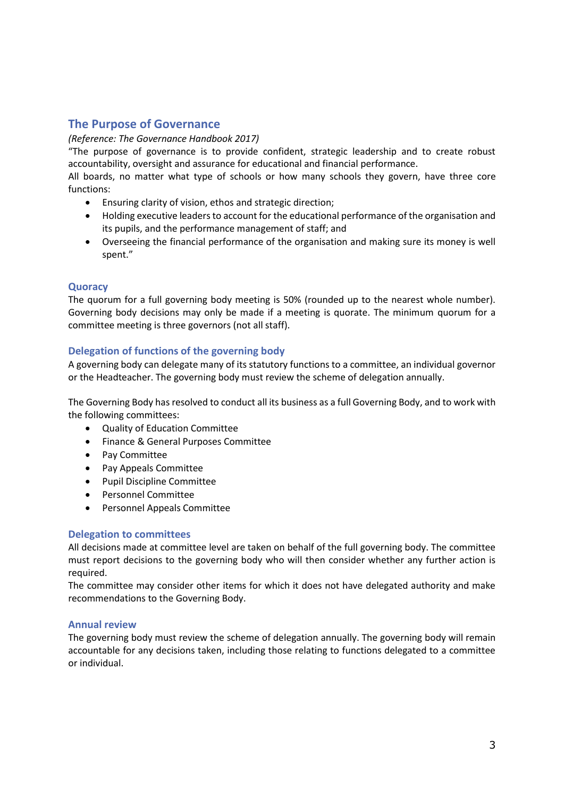### **The Purpose of Governance**

#### *(Reference: The Governance Handbook 2017)*

"The purpose of governance is to provide confident, strategic leadership and to create robust accountability, oversight and assurance for educational and financial performance.

All boards, no matter what type of schools or how many schools they govern, have three core functions:

- Ensuring clarity of vision, ethos and strategic direction;
- Holding executive leaders to account for the educational performance of the organisation and its pupils, and the performance management of staff; and
- Overseeing the financial performance of the organisation and making sure its money is well spent."

#### **Quoracy**

The quorum for a full governing body meeting is 50% (rounded up to the nearest whole number). Governing body decisions may only be made if a meeting is quorate. The minimum quorum for a committee meeting is three governors (not all staff).

#### **Delegation of functions of the governing body**

A governing body can delegate many of its statutory functions to a committee, an individual governor or the Headteacher. The governing body must review the scheme of delegation annually.

The Governing Body has resolved to conduct all its business as a full Governing Body, and to work with the following committees:

- Quality of Education Committee
- Finance & General Purposes Committee
- Pay Committee
- Pay Appeals Committee
- Pupil Discipline Committee
- Personnel Committee
- Personnel Appeals Committee

#### **Delegation to committees**

All decisions made at committee level are taken on behalf of the full governing body. The committee must report decisions to the governing body who will then consider whether any further action is required.

The committee may consider other items for which it does not have delegated authority and make recommendations to the Governing Body.

#### **Annual review**

The governing body must review the scheme of delegation annually. The governing body will remain accountable for any decisions taken, including those relating to functions delegated to a committee or individual.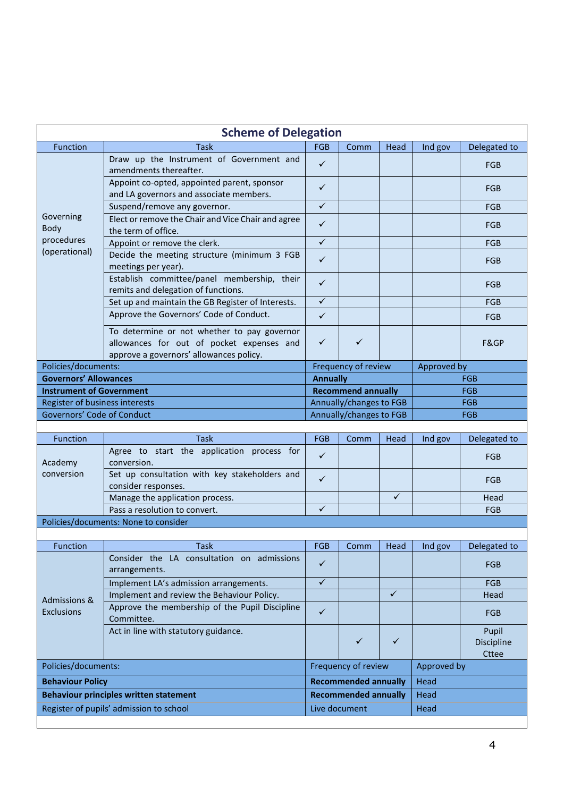|                                              | <b>Scheme of Delegation</b>                                                                                                         |                           |                             |              |             |                              |
|----------------------------------------------|-------------------------------------------------------------------------------------------------------------------------------------|---------------------------|-----------------------------|--------------|-------------|------------------------------|
| Function                                     | <b>Task</b>                                                                                                                         | FGB                       | Comm                        | Head         | Ind gov     | Delegated to                 |
|                                              | Draw up the Instrument of Government and<br>amendments thereafter.                                                                  | $\checkmark$              |                             |              |             | FGB                          |
|                                              | Appoint co-opted, appointed parent, sponsor<br>and LA governors and associate members.                                              | $\checkmark$              |                             |              |             | <b>FGB</b>                   |
|                                              | Suspend/remove any governor.                                                                                                        | $\checkmark$              |                             |              |             | <b>FGB</b>                   |
| Governing<br>Body                            | Elect or remove the Chair and Vice Chair and agree<br>the term of office.                                                           | $\checkmark$              |                             |              |             | <b>FGB</b>                   |
| procedures                                   | Appoint or remove the clerk.                                                                                                        | $\checkmark$              |                             |              |             | <b>FGB</b>                   |
| (operational)                                | Decide the meeting structure (minimum 3 FGB<br>meetings per year).                                                                  | $\checkmark$              |                             |              |             | <b>FGB</b>                   |
|                                              | Establish committee/panel membership, their<br>remits and delegation of functions.                                                  | $\checkmark$              |                             |              |             | <b>FGB</b>                   |
|                                              | Set up and maintain the GB Register of Interests.                                                                                   | $\checkmark$              |                             |              |             | FGB                          |
|                                              | Approve the Governors' Code of Conduct.                                                                                             | $\checkmark$              |                             |              |             | <b>FGB</b>                   |
|                                              | To determine or not whether to pay governor<br>allowances for out of pocket expenses and<br>approve a governors' allowances policy. | $\checkmark$              | $\checkmark$                |              |             | F&GP                         |
| Policies/documents:                          |                                                                                                                                     |                           | Frequency of review         |              | Approved by |                              |
| <b>Governors' Allowances</b>                 |                                                                                                                                     | <b>Annually</b>           |                             |              | <b>FGB</b>  |                              |
| <b>Instrument of Government</b>              |                                                                                                                                     | <b>Recommend annually</b> |                             |              | <b>FGB</b>  |                              |
| Register of business interests               |                                                                                                                                     | Annually/changes to FGB   |                             |              | <b>FGB</b>  |                              |
| Governors' Code of Conduct                   |                                                                                                                                     |                           | Annually/changes to FGB     |              |             | <b>FGB</b>                   |
|                                              |                                                                                                                                     |                           |                             |              |             |                              |
| Function                                     | <b>Task</b><br>Agree to start the application process for                                                                           | <b>FGB</b>                | Comm                        | Head         | Ind gov     | Delegated to                 |
| Academy                                      | conversion.                                                                                                                         | $\checkmark$              |                             |              |             | <b>FGB</b>                   |
| conversion                                   | Set up consultation with key stakeholders and<br>consider responses.                                                                | $\checkmark$              |                             |              |             | <b>FGB</b>                   |
|                                              | Manage the application process.                                                                                                     |                           |                             | $\checkmark$ |             | Head                         |
|                                              | Pass a resolution to convert.                                                                                                       | ✓                         |                             |              |             | <b>FGB</b>                   |
|                                              | Policies/documents: None to consider                                                                                                |                           |                             |              |             |                              |
| Function                                     | Task                                                                                                                                | FGB                       | Comm                        | Head         |             | Ind gov   Delegated to       |
|                                              | Consider the LA consultation on admissions<br>arrangements.                                                                         | $\checkmark$              |                             |              |             | <b>FGB</b>                   |
|                                              | Implement LA's admission arrangements.                                                                                              | $\checkmark$              |                             |              |             | <b>FGB</b>                   |
|                                              | Implement and review the Behaviour Policy.                                                                                          |                           |                             | ✓            |             | Head                         |
| <b>Admissions &amp;</b><br><b>Exclusions</b> | Approve the membership of the Pupil Discipline<br>Committee.                                                                        | $\checkmark$              |                             |              |             | <b>FGB</b>                   |
|                                              | Act in line with statutory guidance.                                                                                                |                           | $\checkmark$                | $\checkmark$ |             | Pupil<br>Discipline<br>Cttee |
| Policies/documents:                          |                                                                                                                                     | Frequency of review       |                             |              | Approved by |                              |
| <b>Behaviour Policy</b>                      |                                                                                                                                     |                           | <b>Recommended annually</b> |              | Head        |                              |
|                                              | <b>Behaviour principles written statement</b>                                                                                       |                           | <b>Recommended annually</b> |              | Head        |                              |
|                                              | Register of pupils' admission to school                                                                                             |                           | Live document               |              | Head        |                              |
|                                              |                                                                                                                                     |                           |                             |              |             |                              |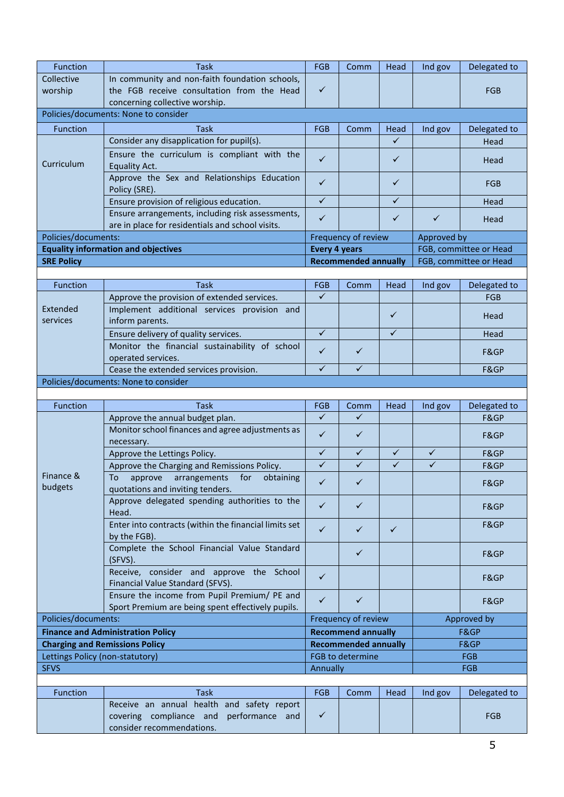| Function                        | Task                                                                                              | FGB                          | Comm                        | Head              | Ind gov           | Delegated to           |
|---------------------------------|---------------------------------------------------------------------------------------------------|------------------------------|-----------------------------|-------------------|-------------------|------------------------|
| Collective                      | In community and non-faith foundation schools,                                                    |                              |                             |                   |                   |                        |
| worship                         | the FGB receive consultation from the Head                                                        | $\checkmark$                 |                             |                   |                   | <b>FGB</b>             |
|                                 | concerning collective worship.                                                                    |                              |                             |                   |                   |                        |
|                                 | Policies/documents: None to consider                                                              |                              |                             |                   |                   |                        |
| Function                        | <b>Task</b>                                                                                       | FGB                          | Comm                        | Head              | Ind gov           | Delegated to           |
|                                 | Consider any disapplication for pupil(s).                                                         |                              |                             | ✓                 |                   | Head                   |
| Curriculum                      | Ensure the curriculum is compliant with the<br>Equality Act.                                      | $\checkmark$                 |                             | $\checkmark$      |                   | Head                   |
|                                 | Approve the Sex and Relationships Education<br>Policy (SRE).                                      | $\checkmark$                 |                             | ✓                 |                   | <b>FGB</b>             |
|                                 | Ensure provision of religious education.                                                          | $\checkmark$                 |                             | $\checkmark$      |                   | Head                   |
|                                 | Ensure arrangements, including risk assessments,                                                  | $\checkmark$                 |                             | ✓                 | $\checkmark$      | Head                   |
|                                 | are in place for residentials and school visits.                                                  |                              |                             |                   |                   |                        |
| Policies/documents:             | <b>Equality information and objectives</b>                                                        |                              | Frequency of review         |                   | Approved by       | FGB, committee or Head |
| <b>SRE Policy</b>               |                                                                                                   | <b>Every 4 years</b>         | <b>Recommended annually</b> |                   |                   | FGB, committee or Head |
|                                 |                                                                                                   |                              |                             |                   |                   |                        |
| Function                        | <b>Task</b>                                                                                       | <b>FGB</b>                   | Comm                        | Head              | Ind gov           | Delegated to           |
|                                 | Approve the provision of extended services.                                                       | $\checkmark$                 |                             |                   |                   | FGB                    |
| Extended<br>services            | Implement additional services provision and<br>inform parents.                                    |                              |                             | $\checkmark$      |                   | Head                   |
|                                 | Ensure delivery of quality services.                                                              | $\checkmark$                 |                             | $\checkmark$      |                   | Head                   |
|                                 | Monitor the financial sustainability of school<br>operated services.                              | ✓                            | $\checkmark$                |                   |                   | F&GP                   |
|                                 | Cease the extended services provision.                                                            | $\checkmark$                 | $\checkmark$                |                   |                   | F&GP                   |
|                                 | Policies/documents: None to consider                                                              |                              |                             |                   |                   |                        |
|                                 |                                                                                                   |                              |                             |                   |                   |                        |
| Function                        | Task                                                                                              | FGB                          | Comm                        | Head              | Ind gov           | Delegated to           |
|                                 | Approve the annual budget plan.                                                                   | $\checkmark$                 | $\checkmark$                |                   |                   | F&GP                   |
|                                 | Monitor school finances and agree adjustments as                                                  | $\checkmark$                 | ✓                           |                   |                   | F&GP                   |
|                                 | necessary.                                                                                        |                              |                             |                   |                   |                        |
|                                 | Approve the Lettings Policy.                                                                      | $\checkmark$<br>$\checkmark$ | ✓<br>$\checkmark$           | ✓<br>$\checkmark$ | ✓<br>$\checkmark$ | F&GP<br>F&GP           |
| Finance &                       | Approve the Charging and Remissions Policy.<br>To<br>approve<br>arrangements<br>for<br>obtaining  |                              |                             |                   |                   |                        |
| budgets                         | quotations and inviting tenders.                                                                  | $\checkmark$                 |                             |                   |                   | F&GP                   |
|                                 | Approve delegated spending authorities to the<br>Head.                                            | $\checkmark$                 | ✓                           |                   |                   | F&GP                   |
|                                 | Enter into contracts (within the financial limits set<br>by the FGB).                             | $\checkmark$                 | $\checkmark$                | ✓                 |                   | F&GP                   |
|                                 | Complete the School Financial Value Standard<br>$(SFVS)$ .                                        |                              | $\checkmark$                |                   |                   | F&GP                   |
|                                 | Receive, consider and approve the School<br>Financial Value Standard (SFVS).                      | $\checkmark$                 |                             |                   |                   | F&GP                   |
|                                 | Ensure the income from Pupil Premium/ PE and<br>Sport Premium are being spent effectively pupils. | $\checkmark$                 | ✓                           |                   |                   | F&GP                   |
| Policies/documents:             |                                                                                                   |                              | Frequency of review         |                   |                   | Approved by            |
|                                 | <b>Finance and Administration Policy</b>                                                          |                              | <b>Recommend annually</b>   |                   |                   | F&GP                   |
|                                 | <b>Charging and Remissions Policy</b>                                                             |                              | <b>Recommended annually</b> |                   |                   | F&GP                   |
| Lettings Policy (non-statutory) |                                                                                                   |                              | FGB to determine            |                   |                   | <b>FGB</b>             |
| <b>SFVS</b>                     |                                                                                                   | Annually                     |                             |                   |                   | <b>FGB</b>             |
| Function                        | <b>Task</b>                                                                                       | <b>FGB</b>                   | Comm                        | Head              | Ind gov           | Delegated to           |
|                                 | Receive an annual health and safety report                                                        |                              |                             |                   |                   |                        |
|                                 | covering compliance and performance and                                                           | $\checkmark$                 |                             |                   |                   | <b>FGB</b>             |

consider recommendations.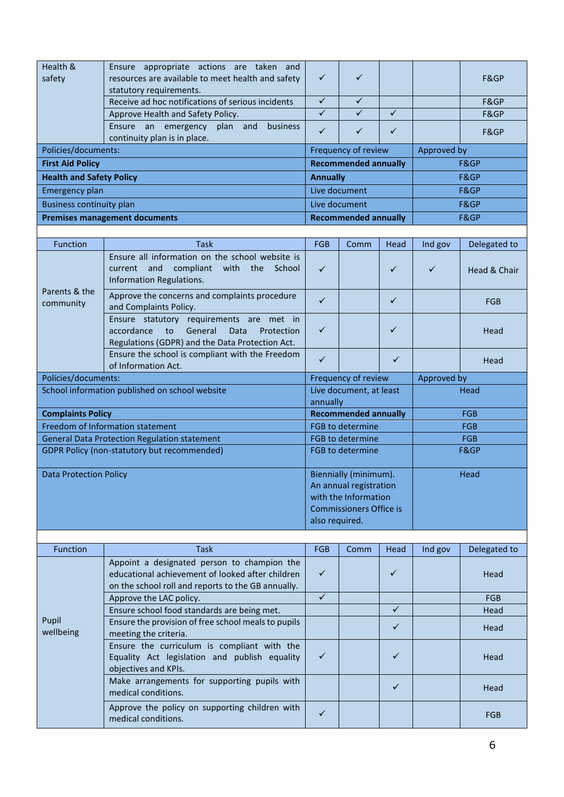| Health &<br>safety                   | appropriate actions are taken and<br>Ensure<br>resources are available to meet health and safety | $\checkmark$                | ✓                           |             |  | F&GP |
|--------------------------------------|--------------------------------------------------------------------------------------------------|-----------------------------|-----------------------------|-------------|--|------|
|                                      | statutory requirements.                                                                          |                             |                             |             |  |      |
|                                      | Receive ad hoc notifications of serious incidents                                                | ✓                           |                             |             |  | F&GP |
|                                      | Approve Health and Safety Policy.                                                                | $\checkmark$                |                             |             |  | F&GP |
|                                      | emergency plan and<br><b>business</b><br>Ensure<br>an<br>continuity plan is in place.            | ✓                           | ✓                           |             |  | F&GP |
| Policies/documents:                  |                                                                                                  | Frequency of review         |                             | Approved by |  |      |
| <b>First Aid Policy</b>              |                                                                                                  | <b>Recommended annually</b> |                             | F&GP        |  |      |
| <b>Health and Safety Policy</b>      |                                                                                                  | <b>Annually</b>             |                             | F&GP        |  |      |
| Emergency plan                       |                                                                                                  | Live document               |                             | F&GP        |  |      |
| <b>Business continuity plan</b>      |                                                                                                  | Live document               |                             | F&GP        |  |      |
| <b>Premises management documents</b> |                                                                                                  |                             | <b>Recommended annually</b> |             |  | F&GP |
|                                      |                                                                                                  |                             |                             |             |  |      |

| <b>Function</b>                                    | <b>Task</b>                                                                                                                                                                   | <b>FGB</b>                                                                                                                  | Comm                | Head         | Ind gov      | Delegated to |  |
|----------------------------------------------------|-------------------------------------------------------------------------------------------------------------------------------------------------------------------------------|-----------------------------------------------------------------------------------------------------------------------------|---------------------|--------------|--------------|--------------|--|
|                                                    | Ensure all information on the school website is<br>compliant with the School<br>current and<br>Information Regulations.                                                       | $\checkmark$                                                                                                                |                     | $\checkmark$ | $\checkmark$ | Head & Chair |  |
| Parents & the<br>community                         | Approve the concerns and complaints procedure<br>and Complaints Policy.                                                                                                       | $\checkmark$                                                                                                                |                     | $\checkmark$ |              | <b>FGB</b>   |  |
|                                                    | Ensure statutory requirements are met in<br>accordance<br>$\overline{\mathsf{to}}$<br>General<br><b>Data</b><br>Protection<br>Regulations (GDPR) and the Data Protection Act. | ✓                                                                                                                           |                     | $\checkmark$ |              | Head         |  |
|                                                    | Ensure the school is compliant with the Freedom<br>of Information Act.                                                                                                        | $\checkmark$                                                                                                                |                     | $\checkmark$ |              | Head         |  |
|                                                    | Policies/documents:                                                                                                                                                           |                                                                                                                             | Frequency of review |              |              | Approved by  |  |
| School information published on school website     |                                                                                                                                                                               | Live document, at least<br>annually                                                                                         |                     |              | Head         |              |  |
| <b>Complaints Policy</b>                           |                                                                                                                                                                               | <b>Recommended annually</b>                                                                                                 |                     |              |              | <b>FGB</b>   |  |
|                                                    | Freedom of Information statement                                                                                                                                              | <b>FGB to determine</b>                                                                                                     |                     |              | <b>FGB</b>   |              |  |
|                                                    | <b>General Data Protection Regulation statement</b>                                                                                                                           | FGB to determine                                                                                                            |                     |              | <b>FGB</b>   |              |  |
| <b>GDPR Policy (non-statutory but recommended)</b> |                                                                                                                                                                               | <b>FGB to determine</b>                                                                                                     |                     | F&GP         |              |              |  |
| <b>Data Protection Policy</b>                      |                                                                                                                                                                               | Biennially (minimum).<br>An annual registration<br>with the Information<br><b>Commissioners Office is</b><br>also required. |                     |              | Head         |              |  |
|                                                    |                                                                                                                                                                               |                                                                                                                             |                     |              |              |              |  |

| <b>Function</b>    | Task                                                                                                                                                  | <b>FGB</b>   | Comm | Head | Ind gov | Delegated to |
|--------------------|-------------------------------------------------------------------------------------------------------------------------------------------------------|--------------|------|------|---------|--------------|
|                    | Appoint a designated person to champion the<br>educational achievement of looked after children<br>on the school roll and reports to the GB annually. | ✓            |      | ✓    |         | Head         |
|                    | Approve the LAC policy.                                                                                                                               | ✓            |      |      |         | <b>FGB</b>   |
|                    | Ensure school food standards are being met.                                                                                                           |              |      | ✓    |         | Head         |
| Pupil<br>wellbeing | Ensure the provision of free school meals to pupils<br>meeting the criteria.                                                                          |              |      | ✓    |         | Head         |
|                    | Ensure the curriculum is compliant with the<br>Equality Act legislation and publish equality<br>objectives and KPIs.                                  | ✓            |      | ✓    |         | Head         |
|                    | Make arrangements for supporting pupils with<br>medical conditions.                                                                                   |              |      | ✓    |         | Head         |
|                    | Approve the policy on supporting children with<br>medical conditions.                                                                                 | $\checkmark$ |      |      |         | <b>FGB</b>   |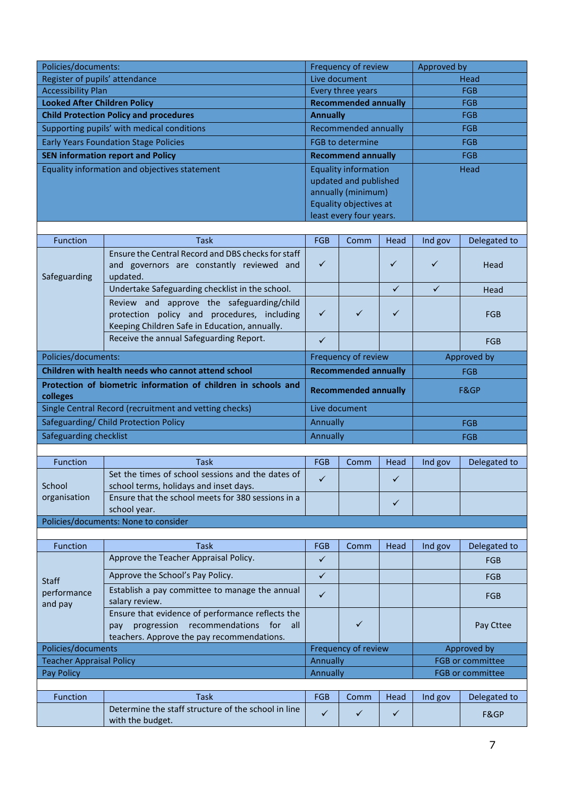| Policies/documents:                 |                                                                                              |                             | Frequency of review                                  |              | Approved by  |                         |  |
|-------------------------------------|----------------------------------------------------------------------------------------------|-----------------------------|------------------------------------------------------|--------------|--------------|-------------------------|--|
|                                     | Register of pupils' attendance                                                               |                             | Live document                                        |              |              | Head                    |  |
| <b>Accessibility Plan</b>           |                                                                                              | Every three years           |                                                      |              | <b>FGB</b>   |                         |  |
| <b>Looked After Children Policy</b> |                                                                                              | <b>Recommended annually</b> |                                                      | <b>FGB</b>   |              |                         |  |
|                                     | <b>Child Protection Policy and procedures</b>                                                | <b>Annually</b>             |                                                      |              |              | <b>FGB</b>              |  |
|                                     | Supporting pupils' with medical conditions                                                   |                             | Recommended annually                                 |              |              | <b>FGB</b>              |  |
|                                     | <b>Early Years Foundation Stage Policies</b>                                                 |                             | <b>FGB</b> to determine                              |              |              | <b>FGB</b>              |  |
|                                     | <b>SEN information report and Policy</b>                                                     |                             | <b>Recommend annually</b>                            |              |              | <b>FGB</b>              |  |
|                                     | Equality information and objectives statement                                                |                             | <b>Equality information</b><br>updated and published |              |              | Head                    |  |
|                                     |                                                                                              |                             | annually (minimum)                                   |              |              |                         |  |
|                                     |                                                                                              |                             | Equality objectives at                               |              |              |                         |  |
|                                     |                                                                                              |                             | least every four years.                              |              |              |                         |  |
|                                     |                                                                                              |                             |                                                      |              |              |                         |  |
| Function                            | <b>Task</b>                                                                                  | <b>FGB</b>                  | Comm                                                 | Head         | Ind gov      | Delegated to            |  |
|                                     | Ensure the Central Record and DBS checks for staff                                           | $\checkmark$                |                                                      | ✓            | ✓            |                         |  |
| Safeguarding                        | and governors are constantly reviewed and<br>updated.                                        |                             |                                                      |              |              | Head                    |  |
|                                     | Undertake Safeguarding checklist in the school.                                              |                             |                                                      | $\checkmark$ | $\checkmark$ | Head                    |  |
|                                     | Review and approve the safeguarding/child                                                    |                             |                                                      |              |              |                         |  |
|                                     | protection policy and procedures, including                                                  | $\checkmark$                | $\checkmark$                                         | ✓            |              | <b>FGB</b>              |  |
|                                     | Keeping Children Safe in Education, annually.                                                |                             |                                                      |              |              |                         |  |
|                                     | Receive the annual Safeguarding Report.                                                      | $\checkmark$                |                                                      |              |              | FGB                     |  |
| Policies/documents:                 |                                                                                              | Frequency of review         |                                                      |              |              | Approved by             |  |
|                                     | Children with health needs who cannot attend school                                          | <b>Recommended annually</b> |                                                      |              | <b>FGB</b>   |                         |  |
|                                     | Protection of biometric information of children in schools and                               |                             |                                                      |              |              |                         |  |
| colleges                            |                                                                                              | <b>Recommended annually</b> |                                                      |              | F&GP         |                         |  |
|                                     | Single Central Record (recruitment and vetting checks)                                       |                             | Live document                                        |              |              |                         |  |
|                                     | Safeguarding/ Child Protection Policy                                                        | Annually                    |                                                      |              |              | <b>FGB</b>              |  |
| Safeguarding checklist              |                                                                                              | Annually                    |                                                      |              |              | <b>FGB</b>              |  |
|                                     |                                                                                              |                             |                                                      |              |              |                         |  |
| Function                            | <b>Task</b>                                                                                  | <b>FGB</b>                  | Comm                                                 | Head         | Ind gov      | Delegated to            |  |
|                                     | Set the times of school sessions and the dates of                                            | $\checkmark$                |                                                      | $\checkmark$ |              |                         |  |
| School<br>organisation              | school terms, holidays and inset days.<br>Ensure that the school meets for 380 sessions in a |                             |                                                      |              |              |                         |  |
|                                     | school year.                                                                                 |                             |                                                      | $\checkmark$ |              |                         |  |
|                                     | Policies/documents: None to consider                                                         |                             |                                                      |              |              |                         |  |
|                                     |                                                                                              |                             |                                                      |              |              |                         |  |
| Function                            | <b>Task</b>                                                                                  | <b>FGB</b>                  | Comm                                                 | Head         | Ind gov      | Delegated to            |  |
|                                     | Approve the Teacher Appraisal Policy.                                                        | ✓                           |                                                      |              |              | <b>FGB</b>              |  |
| <b>Staff</b>                        | Approve the School's Pay Policy.                                                             | $\checkmark$                |                                                      |              |              | <b>FGB</b>              |  |
| performance                         | Establish a pay committee to manage the annual                                               | ✓                           |                                                      |              |              | FGB                     |  |
| and pay                             | salary review.                                                                               |                             |                                                      |              |              |                         |  |
|                                     | Ensure that evidence of performance reflects the                                             |                             |                                                      |              |              |                         |  |
|                                     | progression recommendations for<br>all<br>pay<br>teachers. Approve the pay recommendations.  |                             | $\checkmark$                                         |              |              | Pay Cttee               |  |
| Policies/documents                  |                                                                                              | Frequency of review         |                                                      |              |              | Approved by             |  |
| <b>Teacher Appraisal Policy</b>     |                                                                                              | Annually                    |                                                      |              |              | <b>FGB or committee</b> |  |
| Pay Policy                          |                                                                                              | Annually                    |                                                      |              |              | FGB or committee        |  |
|                                     |                                                                                              |                             |                                                      |              |              |                         |  |
| Function                            | <b>Task</b>                                                                                  | FGB                         | Comm                                                 | Head         | Ind gov      | Delegated to            |  |
|                                     | Determine the staff structure of the school in line<br>with the budget.                      | $\checkmark$                | ✓                                                    | $\checkmark$ |              | F&GP                    |  |
|                                     |                                                                                              |                             |                                                      |              |              |                         |  |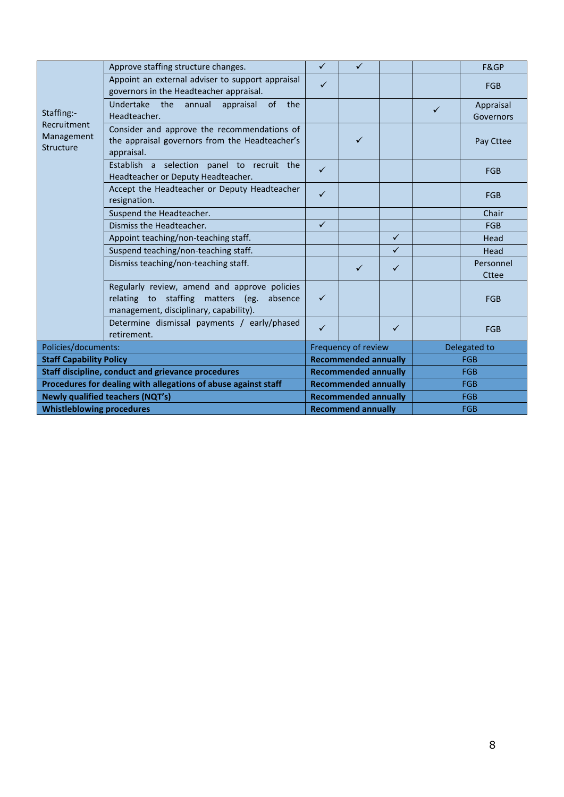|                                        | Approve staffing structure changes.                                                                                                    | $\checkmark$                | $\checkmark$                |              |              | F&GP                   |  |
|----------------------------------------|----------------------------------------------------------------------------------------------------------------------------------------|-----------------------------|-----------------------------|--------------|--------------|------------------------|--|
|                                        | Appoint an external adviser to support appraisal<br>governors in the Headteacher appraisal.                                            | $\checkmark$                |                             |              |              | <b>FGB</b>             |  |
| Staffing:-                             | Undertake the annual appraisal<br>of the<br>Headteacher.                                                                               |                             |                             |              | $\checkmark$ | Appraisal<br>Governors |  |
| Recruitment<br>Management<br>Structure | Consider and approve the recommendations of<br>the appraisal governors from the Headteacher's<br>appraisal.                            |                             | ✓                           |              |              | Pay Cttee              |  |
|                                        | Establish a selection panel to recruit the<br>Headteacher or Deputy Headteacher.                                                       | $\checkmark$                |                             |              |              | <b>FGB</b>             |  |
|                                        | Accept the Headteacher or Deputy Headteacher<br>resignation.                                                                           | $\checkmark$                |                             |              |              | <b>FGB</b>             |  |
|                                        | Suspend the Headteacher.                                                                                                               |                             |                             |              |              | Chair                  |  |
|                                        | Dismiss the Headteacher.                                                                                                               | $\checkmark$                |                             |              |              | <b>FGB</b>             |  |
|                                        | Appoint teaching/non-teaching staff.                                                                                                   |                             |                             | $\checkmark$ |              | Head                   |  |
|                                        | Suspend teaching/non-teaching staff.                                                                                                   |                             |                             | $\checkmark$ |              | Head                   |  |
|                                        | Dismiss teaching/non-teaching staff.                                                                                                   |                             | $\checkmark$                | $\checkmark$ |              | Personnel<br>Cttee     |  |
|                                        | Regularly review, amend and approve policies<br>relating to staffing matters (eg.<br>absence<br>management, disciplinary, capability). | $\checkmark$                |                             |              |              | <b>FGB</b>             |  |
|                                        | Determine dismissal payments / early/phased<br>retirement.                                                                             | $\checkmark$                |                             | $\checkmark$ |              | <b>FGB</b>             |  |
| Policies/documents:                    |                                                                                                                                        | Frequency of review         |                             |              | Delegated to |                        |  |
| <b>Staff Capability Policy</b>         |                                                                                                                                        |                             | <b>Recommended annually</b> |              |              | <b>FGB</b>             |  |
|                                        | Staff discipline, conduct and grievance procedures                                                                                     |                             | <b>Recommended annually</b> |              |              | <b>FGB</b>             |  |
|                                        | Procedures for dealing with allegations of abuse against staff                                                                         | <b>Recommended annually</b> |                             | <b>FGB</b>   |              |                        |  |
|                                        | <b>Newly qualified teachers (NQT's)</b>                                                                                                |                             | <b>Recommended annually</b> |              | <b>FGB</b>   |                        |  |
| <b>Whistleblowing procedures</b>       |                                                                                                                                        | <b>Recommend annually</b>   |                             |              | <b>FGB</b>   |                        |  |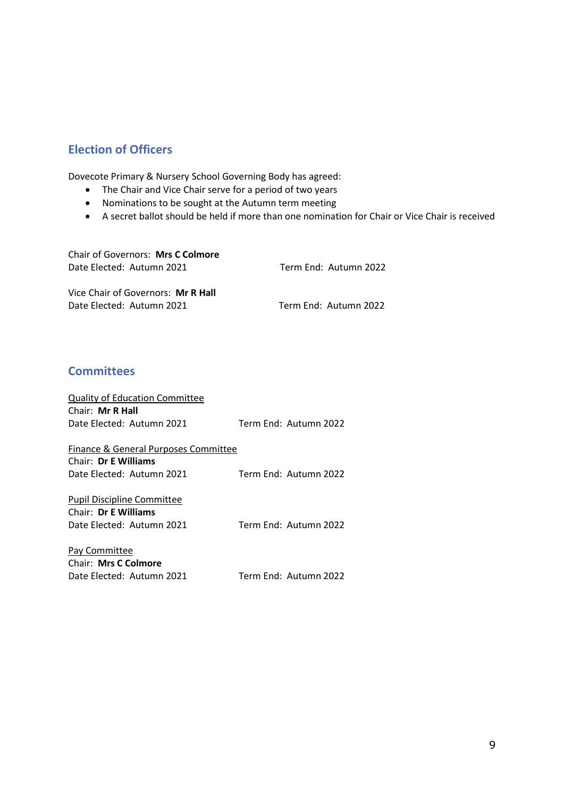## **Election of Officers**

Dovecote Primary & Nursery School Governing Body has agreed:

- The Chair and Vice Chair serve for a period of two years
- Nominations to be sought at the Autumn term meeting
- A secret ballot should be held if more than one nomination for Chair or Vice Chair is received

| Chair of Governors: Mrs C Colmore  |                       |
|------------------------------------|-----------------------|
| Date Elected: Autumn 2021          | Term End: Autumn 2022 |
| Vice Chair of Governors: Mr R Hall |                       |
| Date Elected: Autumn 2021          | Term End: Autumn 2022 |

## **Committees**

| <b>Quality of Education Committee</b> |                       |
|---------------------------------------|-----------------------|
| Chair: Mr R Hall                      |                       |
| Date Elected: Autumn 2021             | Term End: Autumn 2022 |
|                                       |                       |
| Finance & General Purposes Committee  |                       |
| Chair: Dr E Williams                  |                       |
| Date Elected: Autumn 2021             | Term End: Autumn 2022 |
|                                       |                       |
| <b>Pupil Discipline Committee</b>     |                       |
| Chair: Dr E Williams                  |                       |
| Date Elected: Autumn 2021             | Term End: Autumn 2022 |
|                                       |                       |
| Pay Committee                         |                       |
| <b>Chair: Mrs C Colmore</b>           |                       |
| Date Elected: Autumn 2021             | Term End: Autumn 2022 |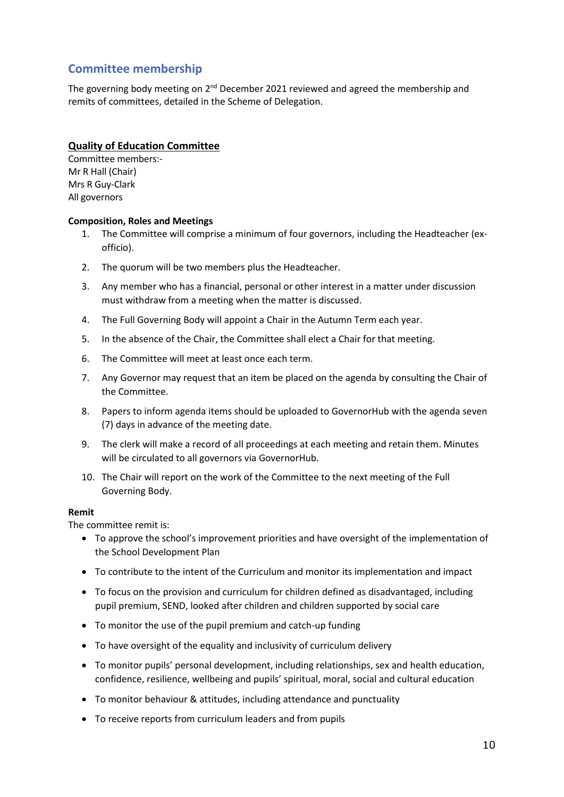## **Committee membership**

The governing body meeting on 2<sup>nd</sup> December 2021 reviewed and agreed the membership and remits of committees, detailed in the Scheme of Delegation.

#### **Quality of Education Committee**

Committee members:- Mr R Hall (Chair) Mrs R Guy-Clark All governors

#### **Composition, Roles and Meetings**

- 1. The Committee will comprise a minimum of four governors, including the Headteacher (exofficio).
- 2. The quorum will be two members plus the Headteacher.
- 3. Any member who has a financial, personal or other interest in a matter under discussion must withdraw from a meeting when the matter is discussed.
- 4. The Full Governing Body will appoint a Chair in the Autumn Term each year.
- 5. In the absence of the Chair, the Committee shall elect a Chair for that meeting.
- 6. The Committee will meet at least once each term.
- 7. Any Governor may request that an item be placed on the agenda by consulting the Chair of the Committee.
- 8. Papers to inform agenda items should be uploaded to GovernorHub with the agenda seven (7) days in advance of the meeting date.
- 9. The clerk will make a record of all proceedings at each meeting and retain them. Minutes will be circulated to all governors via GovernorHub.
- 10. The Chair will report on the work of the Committee to the next meeting of the Full Governing Body.

#### **Remit**

The committee remit is:

- To approve the school's improvement priorities and have oversight of the implementation of the School Development Plan
- To contribute to the intent of the Curriculum and monitor its implementation and impact
- To focus on the provision and curriculum for children defined as disadvantaged, including pupil premium, SEND, looked after children and children supported by social care
- To monitor the use of the pupil premium and catch-up funding
- To have oversight of the equality and inclusivity of curriculum delivery
- To monitor pupils' personal development, including relationships, sex and health education, confidence, resilience, wellbeing and pupils' spiritual, moral, social and cultural education
- To monitor behaviour & attitudes, including attendance and punctuality
- To receive reports from curriculum leaders and from pupils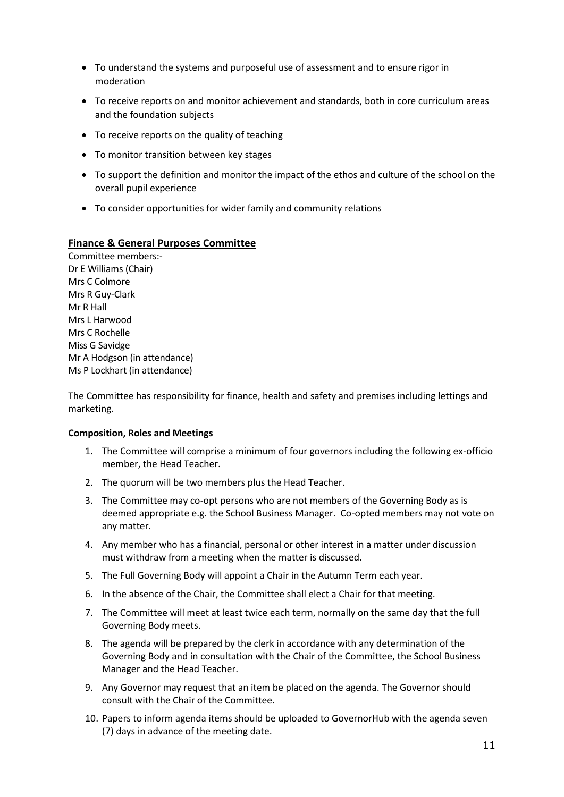- To understand the systems and purposeful use of assessment and to ensure rigor in moderation
- To receive reports on and monitor achievement and standards, both in core curriculum areas and the foundation subjects
- To receive reports on the quality of teaching
- To monitor transition between key stages
- To support the definition and monitor the impact of the ethos and culture of the school on the overall pupil experience
- To consider opportunities for wider family and community relations

#### **Finance & General Purposes Committee**

Committee members:- Dr E Williams (Chair) Mrs C Colmore Mrs R Guy-Clark Mr R Hall Mrs L Harwood Mrs C Rochelle Miss G Savidge Mr A Hodgson (in attendance) Ms P Lockhart (in attendance)

The Committee has responsibility for finance, health and safety and premises including lettings and marketing.

#### **Composition, Roles and Meetings**

- 1. The Committee will comprise a minimum of four governors including the following ex-officio member, the Head Teacher.
- 2. The quorum will be two members plus the Head Teacher.
- 3. The Committee may co-opt persons who are not members of the Governing Body as is deemed appropriate e.g. the School Business Manager. Co-opted members may not vote on any matter.
- 4. Any member who has a financial, personal or other interest in a matter under discussion must withdraw from a meeting when the matter is discussed.
- 5. The Full Governing Body will appoint a Chair in the Autumn Term each year.
- 6. In the absence of the Chair, the Committee shall elect a Chair for that meeting.
- 7. The Committee will meet at least twice each term, normally on the same day that the full Governing Body meets.
- 8. The agenda will be prepared by the clerk in accordance with any determination of the Governing Body and in consultation with the Chair of the Committee, the School Business Manager and the Head Teacher.
- 9. Any Governor may request that an item be placed on the agenda. The Governor should consult with the Chair of the Committee.
- 10. Papers to inform agenda items should be uploaded to GovernorHub with the agenda seven (7) days in advance of the meeting date.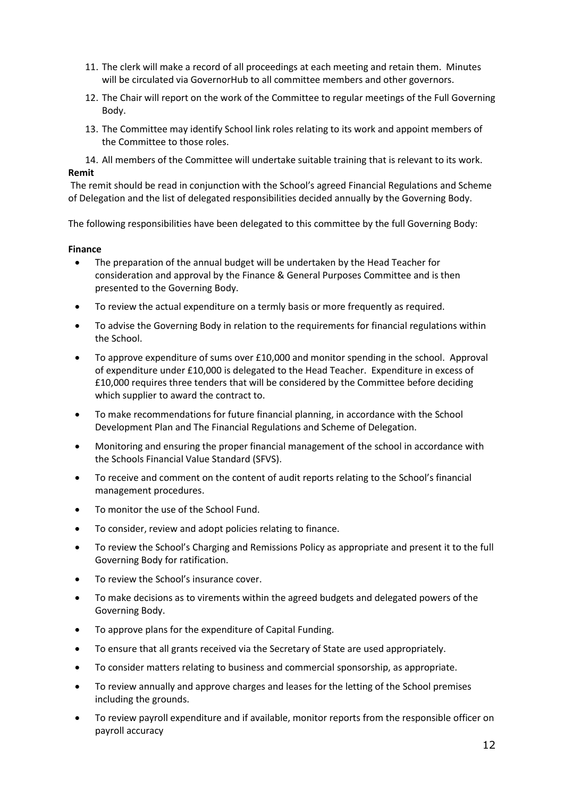- 11. The clerk will make a record of all proceedings at each meeting and retain them. Minutes will be circulated via GovernorHub to all committee members and other governors.
- 12. The Chair will report on the work of the Committee to regular meetings of the Full Governing Body.
- 13. The Committee may identify School link roles relating to its work and appoint members of the Committee to those roles.
- 14. All members of the Committee will undertake suitable training that is relevant to its work.

#### **Remit**

The remit should be read in conjunction with the School's agreed Financial Regulations and Scheme of Delegation and the list of delegated responsibilities decided annually by the Governing Body.

The following responsibilities have been delegated to this committee by the full Governing Body:

#### **Finance**

- The preparation of the annual budget will be undertaken by the Head Teacher for consideration and approval by the Finance & General Purposes Committee and is then presented to the Governing Body.
- To review the actual expenditure on a termly basis or more frequently as required.
- To advise the Governing Body in relation to the requirements for financial regulations within the School.
- To approve expenditure of sums over £10,000 and monitor spending in the school. Approval of expenditure under £10,000 is delegated to the Head Teacher. Expenditure in excess of £10,000 requires three tenders that will be considered by the Committee before deciding which supplier to award the contract to.
- To make recommendations for future financial planning, in accordance with the School Development Plan and The Financial Regulations and Scheme of Delegation.
- Monitoring and ensuring the proper financial management of the school in accordance with the Schools Financial Value Standard (SFVS).
- To receive and comment on the content of audit reports relating to the School's financial management procedures.
- To monitor the use of the School Fund.
- To consider, review and adopt policies relating to finance.
- To review the School's Charging and Remissions Policy as appropriate and present it to the full Governing Body for ratification.
- To review the School's insurance cover.
- To make decisions as to virements within the agreed budgets and delegated powers of the Governing Body.
- To approve plans for the expenditure of Capital Funding.
- To ensure that all grants received via the Secretary of State are used appropriately.
- To consider matters relating to business and commercial sponsorship, as appropriate.
- To review annually and approve charges and leases for the letting of the School premises including the grounds.
- To review payroll expenditure and if available, monitor reports from the responsible officer on payroll accuracy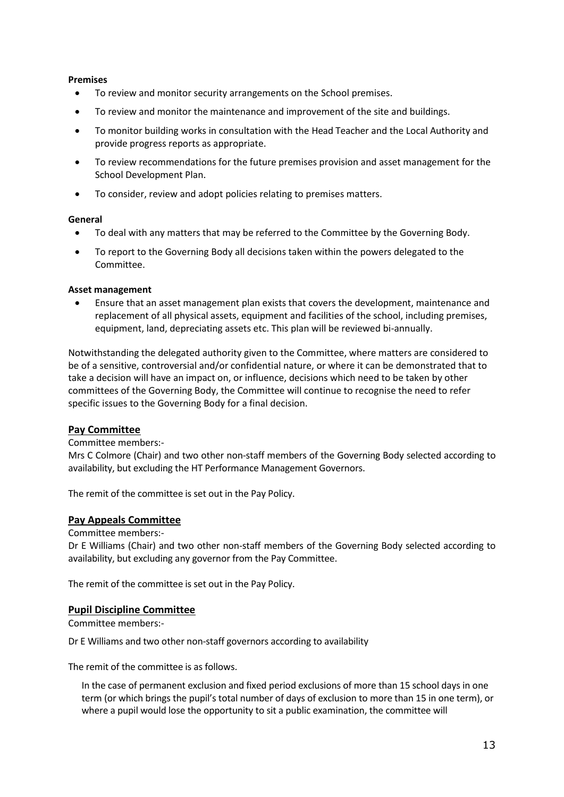#### **Premises**

- To review and monitor security arrangements on the School premises.
- To review and monitor the maintenance and improvement of the site and buildings.
- To monitor building works in consultation with the Head Teacher and the Local Authority and provide progress reports as appropriate.
- To review recommendations for the future premises provision and asset management for the School Development Plan.
- To consider, review and adopt policies relating to premises matters.

#### **General**

- To deal with any matters that may be referred to the Committee by the Governing Body.
- To report to the Governing Body all decisions taken within the powers delegated to the Committee.

#### **Asset management**

• Ensure that an asset management plan exists that covers the development, maintenance and replacement of all physical assets, equipment and facilities of the school, including premises, equipment, land, depreciating assets etc. This plan will be reviewed bi-annually.

Notwithstanding the delegated authority given to the Committee, where matters are considered to be of a sensitive, controversial and/or confidential nature, or where it can be demonstrated that to take a decision will have an impact on, or influence, decisions which need to be taken by other committees of the Governing Body, the Committee will continue to recognise the need to refer specific issues to the Governing Body for a final decision.

#### **Pay Committee**

#### Committee members:-

Mrs C Colmore (Chair) and two other non-staff members of the Governing Body selected according to availability, but excluding the HT Performance Management Governors.

The remit of the committee is set out in the Pay Policy.

#### **Pay Appeals Committee**

#### Committee members:-

Dr E Williams (Chair) and two other non-staff members of the Governing Body selected according to availability, but excluding any governor from the Pay Committee.

The remit of the committee is set out in the Pay Policy.

#### **Pupil Discipline Committee**

Committee members:-

Dr E Williams and two other non-staff governors according to availability

The remit of the committee is as follows.

In the case of permanent exclusion and fixed period exclusions of more than 15 school days in one term (or which brings the pupil's total number of days of exclusion to more than 15 in one term), or where a pupil would lose the opportunity to sit a public examination, the committee will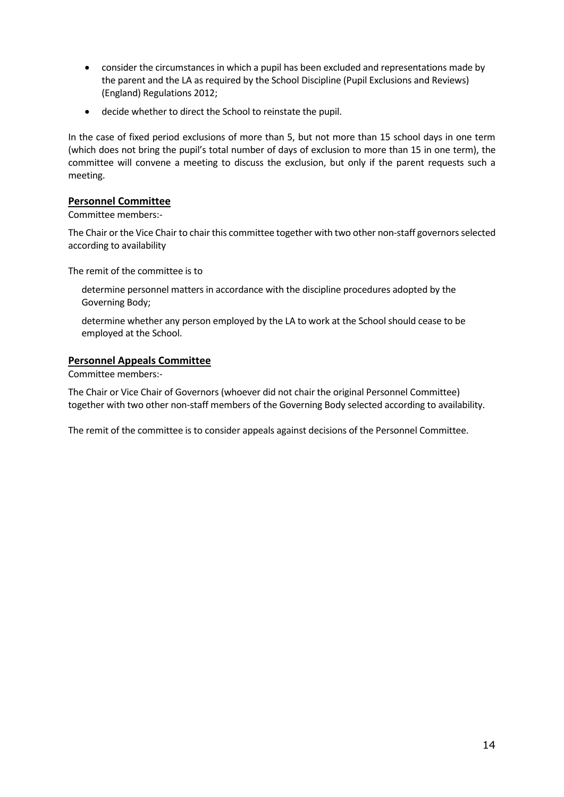- consider the circumstances in which a pupil has been excluded and representations made by the parent and the LA as required by the School Discipline (Pupil Exclusions and Reviews) (England) Regulations 2012;
- decide whether to direct the School to reinstate the pupil.

In the case of fixed period exclusions of more than 5, but not more than 15 school days in one term (which does not bring the pupil's total number of days of exclusion to more than 15 in one term), the committee will convene a meeting to discuss the exclusion, but only if the parent requests such a meeting.

#### **Personnel Committee**

Committee members:-

The Chair or the Vice Chair to chair this committee together with two other non-staff governors selected according to availability

The remit of the committee is to

- determine personnel matters in accordance with the discipline procedures adopted by the Governing Body;
- determine whether any person employed by the LA to work at the School should cease to be employed at the School.

#### **Personnel Appeals Committee**

Committee members:-

The Chair or Vice Chair of Governors (whoever did not chair the original Personnel Committee) together with two other non-staff members of the Governing Body selected according to availability.

The remit of the committee is to consider appeals against decisions of the Personnel Committee.